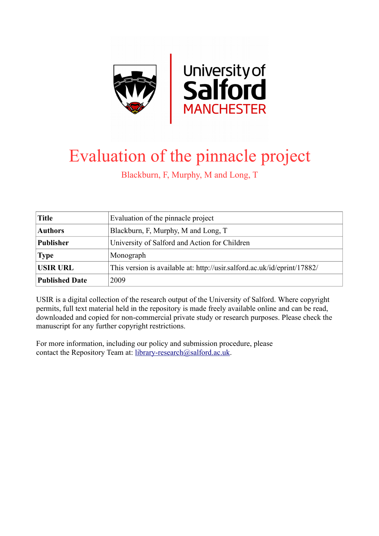

# Evaluation of the pinnacle project

Blackburn, F, Murphy, M and Long, T

| Title                 | Evaluation of the pinnacle project                                       |  |
|-----------------------|--------------------------------------------------------------------------|--|
| <b>Authors</b>        | Blackburn, F, Murphy, M and Long, T                                      |  |
| <b>Publisher</b>      | University of Salford and Action for Children                            |  |
| <b>Type</b>           | Monograph                                                                |  |
| <b>USIR URL</b>       | This version is available at: http://usir.salford.ac.uk/id/eprint/17882/ |  |
| <b>Published Date</b> | 2009                                                                     |  |

USIR is a digital collection of the research output of the University of Salford. Where copyright permits, full text material held in the repository is made freely available online and can be read, downloaded and copied for non-commercial private study or research purposes. Please check the manuscript for any further copyright restrictions.

For more information, including our policy and submission procedure, please contact the Repository Team at: [library-research@salford.ac.uk.](mailto:library-research@salford.ac.uk)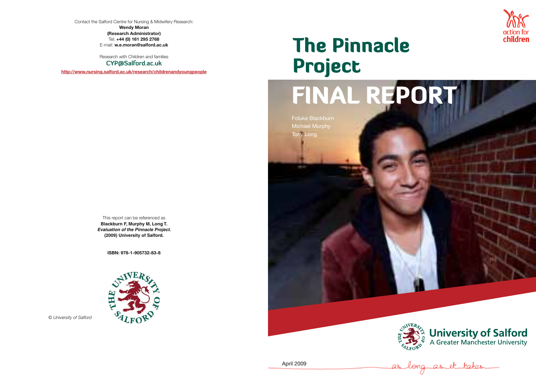Contact the Salford Centre for Nursing & Midwifery Research:

**Wendy Moran (Research Administrator)** Tel: **+44 (0) 161 295 2768** E-mail: **w.e.moran@salford.ac.uk**

Research with Children and families

**CYP@Salford.ac.uk**

**http://www.nursing.salford.ac.uk/research/childrenandyoungpeople**

This report can be referenced as **Blackburn F, Murphy M, Long T.** *Evaluation of the Pinnacle Project.* **(2009) University of Salford.**

**ISBN: 978-1-905732-83-8**



*© University of Salford*







Foluke Blackburn Michael Murphy Tony Long





# The Pinnacle Project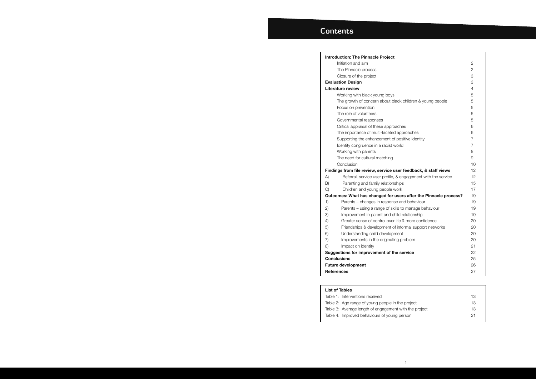|     | <b>Introduction: The Pinnacle Project</b>                        |                |
|-----|------------------------------------------------------------------|----------------|
|     | Initiation and aim                                               | 2              |
|     | The Pinnacle process                                             | $\overline{2}$ |
|     | Closure of the project                                           | 3              |
|     | <b>Evaluation Design</b>                                         | 3              |
|     | <b>Literature review</b>                                         | 4              |
|     | Working with black young boys                                    | 5              |
|     | The growth of concern about black children & young people        | 5              |
|     | Focus on prevention                                              | 5              |
|     | The role of volunteers                                           | 5              |
|     | Governmental responses                                           | 5              |
|     | Critical appraisal of these approaches                           | 6              |
|     | The importance of multi-faceted approaches                       | 6              |
|     | Supporting the enhancement of positive identity                  | 7              |
|     | Identity congruence in a racist world                            | $\overline{7}$ |
|     | Working with parents                                             | 8              |
|     | The need for cultural matching                                   | 9              |
|     | Conclusion                                                       | 10             |
|     | Findings from file review, service user feedback, & staff views  | 12             |
| A)  | Referral, service user profile, & engagement with the service    | 12             |
| B)  | Parenting and family relationships                               | 15             |
| C)  | Children and young people work                                   | 17             |
|     | Outcomes: What has changed for users after the Pinnacle process? | 19             |
| 1)  | Parents - changes in response and behaviour                      | 19             |
| (2) | Parents - using a range of skills to manage behaviour            | 19             |
| 3)  | Improvement in parent and child relationship                     | 19             |
| 4)  | Greater sense of control over life & more confidence             | 20             |
| 5)  | Friendships & development of informal support networks           | 20             |
| 6)  | Understanding child development                                  | 20             |
| 7)  | Improvements in the originating problem                          | 20             |
| 8)  | Impact on identity                                               | 21             |
|     | Suggestions for improvement of the service                       | 22             |
|     | <b>Conclusions</b>                                               | 25             |
|     | <b>Future development</b>                                        | 26             |
|     | <b>References</b>                                                | 27             |
|     |                                                                  |                |

### **List of Tables**

Table 1: Interventions received Table 2: Age range of young people in the p Table 3: Average length of engagement with Table 4: Improved behaviours of young pers

|                               | 2              |  |
|-------------------------------|----------------|--|
|                               | $\overline{2}$ |  |
|                               | 3              |  |
|                               | 3              |  |
|                               | $\overline{4}$ |  |
|                               | 5              |  |
| hildren & young people        | 5              |  |
|                               | 5              |  |
|                               | 5              |  |
|                               | 5              |  |
| 3                             | 6              |  |
| oaches                        | 6              |  |
| tive identity                 | $\overline{7}$ |  |
|                               | $\overline{7}$ |  |
|                               | 8              |  |
|                               | 9              |  |
|                               | 10             |  |
| eedback, & staff views        | 12             |  |
| gagement with the service     | 12             |  |
|                               | 15             |  |
|                               | 17             |  |
| s after the Pinnacle process? | 19             |  |
| d behaviour                   | 19             |  |
| manage behaviour              | 19             |  |
| lationship                    | 19             |  |
| more confidence               | 20             |  |
| mal support networks          | 20             |  |
|                               | 20             |  |
| blem                          | 20             |  |
|                               | 21             |  |
| rvice                         | 22             |  |
|                               | 25             |  |
|                               | 26             |  |
|                               | 27             |  |

|               | 13 |
|---------------|----|
| project       | 13 |
| h the project | 13 |
| son           | 21 |
|               |    |

# **Contents**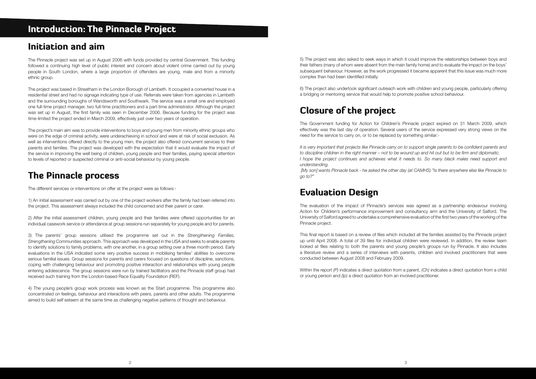# Introduction: The Pinnacle Project

# Initiation and aim

The Pinnacle project was set up in August 2006 with funds provided by central Government. This funding followed a continuing high level of public interest and concern about violent crime carried out by young people in South London, where a large proportion of offenders are young, male and from a minority ethnic group.

The project was based in Streatham in the London Borough of Lambeth. It occupied a converted house in a residential street and had no signage indicating type of use. Referrals were taken from agencies in Lambeth and the surrounding boroughs of Wandsworth and Southwark. The service was a small one and employed one full-time project manager, two full-time practitioners and a part-time administrator. Although the project was set up in August, the first family was seen in December 2006. Because funding for the project was time-limited the project ended in March 2009, effectively just over two years of operation.

The project's main aim was to provide interventions to boys and young men from minority ethnic groups who were on the edge of criminal activity, were underachieving in school and were at risk of social exclusion. As well as interventions offered directly to the young men, the project also offered concurrent services to their parents and families. The project was developed with the expectation that it would evaluate the impact of the service in improving the well being of children, young people and their families, paying special attention to levels of reported or suspected criminal or anti-social behaviour by young people.

# The Pinnacle process

The different services or interventions on offer at the project were as follows:-

1) An initial assessment was carried out by one of the project workers after the family had been referred into the project. This assessment always included the child concerned and their parent or carer.

2) After the initial assessment children, young people and their families were offered opportunities for an individual casework service or attendance at group sessions run separately for young people and for parents.

3) The parents' group sessions utilised the programme set out in the *Strengthening Families, Strengthening Communities* approach. This approach was developed in the USA and seeks to enable parents to identify solutions to family problems, with one another, in a group setting over a three month period. Early evaluations in the USA indicated some very positive success in mobilising families' abilities to overcome serious familial issues. Group sessions for parents and carers focused on questions of discipline, sanctions, coping with challenging behaviour and promoting positive interaction and relationships with young people entering adolescence. The group sessions were run by trained facilitators and the Pinnacle staff group had received such training from the London-based Race Equality Foundation (REF).

4) The young people's group work process was known as the Start programme. This programme also concentrated on feelings, behaviour and interactions with peers, parents and other adults. The programme aimed to build self esteem at the same time as challenging negative patterns of thought and behaviour.

5) The project was also asked to seek ways in which it could improve the relationships between boys and their fathers (many of whom were absent from the main family home) and to evaluate the impact on the boys' subsequent behaviour. However, as the work progressed it became apparent that this issue was much more complex than had been identified initially.

6) The project also undertook significant outreach work with children and young people, particularly offering a bridging or mentoring service that would help to promote positive school behaviour.

# Closure of the project

The Government funding for Action for Children's Pinnacle project expired on 31 March 2009, which effectively was the last day of operation. Several users of the service expressed very strong views on the need for the service to carry on, or to be replaced by something similar:-

*It is very important that projects like Pinnacle carry on to support single parents to be confident parents and to discipline children in the right manner – not to be wound up and hit out but to be firm and diplomatic. I hope the project continues and achieves what it needs to. So many black males need support and understanding.*

 *[My son] wants Pinnacle back - he asked the other day (at CAMHS) "Is there anywhere else like Pinnacle to go to?"*

# Evaluation Design

The evaluation of the impact of Pinnacle's services was agreed as a partnership endeavour involving Action for Children's performance improvement and consultancy arm and the University of Salford. The University of Salford agreed to undertake a comprehensive evaluation of the first two years of the working of the Pinnacle project.

This final report is based on a review of files which included all the families assisted by the Pinnacle project up until April 2008. A total of 39 files for individual children were reviewed. In addition, the review team looked at files relating to both the parents and young people's groups run by Pinnacle. It also includes a literature review and a series of interviews with parents, children and involved practitioners that were conducted between August 2008 and February 2009.

Within the report *(P)* indicates a direct quotation from a parent, *(Ch)* indicates a direct quotation from a child or young person and *(Ip)* a direct quotation from an involved practitioner.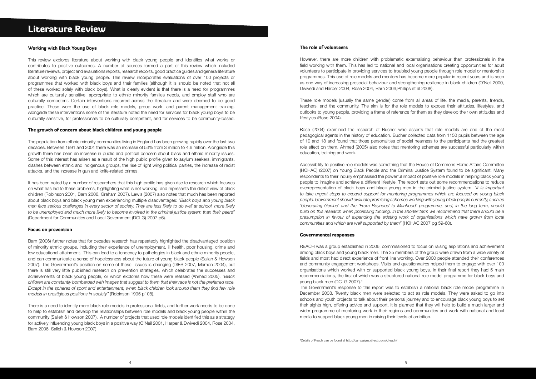# Literature Review

#### Working with Black Young Boys

This review explores literature about working with black young people and identifies what works or contributes to positive outcomes. A number of sources formed a part of this review which included literature reviews, project and evaluations reports, research reports, good practice guides and general literature about working with black young people. This review incorporates evaluations of over 100 projects or programmes that worked with black boys and their families (although it is should be noted that not all of these worked solely with black boys). What is clearly evident is that there is a need for programmes which are culturally sensitive, appropriate to ethnic minority families needs, and employ staff who are culturally competent. Certain interventions recurred across the literature and were deemed to be good practice. These were the use of black role models, group work, and parent management training. Alongside these interventions some of the literature noted the need for services for black young boys to be culturally sensitive, for professionals to be culturally competent, and for services to be community-based.

#### The growth of concern about black children and young people

The population from ethnic minority communities living in England has been growing rapidly over the last two decades. Between 1991 and 2001 there was an increase of 53% from 3 million to 4.6 million. Alongside this growth there has been an increase in public and political concern about black and ethnic minority issues. Some of this interest has arisen as a result of the high public profile given to asylum seekers, immigrants, clashes between ethnic and indigenous groups, the rise of right wing political parties, the increase of racist attacks, and the increase in gun and knife-related crimes.

It has been noted by a number of researchers that this high profile has given rise to research which focuses on what has led to these problems, highlighting what is not working, and represents the deficit view of black children (Robinson 2001, Barn 2006, Graham 2007). Lewis (2007) also notes that much has been reported about black boys and black young men experiencing multiple disadvantages: *"Black boys and young black men face serious challenges in every sector of society. They are less likely to do well at school, more likely to be unemployed and much more likely to become involved in the criminal justice system than their peers"*  (Department for Communities and Local Government (DCLG) 2007 p6).

#### Focus on prevention

Barn (2006) further notes that for decades research has repeatedly highlighted the disadvantaged position of minority ethnic groups, including their experience of unemployment, ill health, poor housing, crime and low educational attainment. This can lead to a tendency to pathologies in black and ethnic minority people, and can communicate a sense of hopelessness about the future of young black people (Sallah & Howson 2007). The Government's position on some of these issues is changing (DfES 2007, Mamon 2004), but there is still very little published research on prevention strategies, which celebrates the successes and achievements of black young people, or which explores how these were realised (Ahmed 2005). *"Black children are constantly bombarded with images that suggest to them that their race is not the preferred race. Except in the spheres of sport and entertainment, when black children look around them they find few role models in prestigious positions in society"* (Robinson 1995 p108).

REACH was a group established in 2006, commissioned to focus on raising aspirations and achievement among black boys and young black men. The 25 members of the group were drawn from a wide variety of fields and most had direct experience of front line working. Over 2000 people attended their conferences and community engagement workshops. Visits and questionnaires helped them to engage with over 100 organisations which worked with or supported black young boys. In their final report they had 5 main recommendations, the first of which was a structured national role model programme for black boys and voung black men (DCLG 2007).<sup>1</sup>

There is a need to identify more black role models in professional fields, and further work needs to be done to help to establish and develop the relationships between role models and black young people within the community (Salleh & Howson 2007). A number of projects that used role models identified this as a strategy for actively influencing young black boys in a positive way (O'Neil 2001, Harper & Dwivedi 2004, Rose 2004, Barn 2006, Salleh & Howson 2007).

### The role of volunteers

However, there are more children with problematic externalising behaviour than professionals in the field working with them. This has led to national and local organisations creating opportunities for adult volunteers to participate in providing services to troubled young people through role model or mentorship programmes. This use of role models and mentors has become more popular in recent years and is seen as one way of increasing prosocial behaviour and strengthening resilience in black children (O'Neil 2000, Dwivedi and Harper 2004, Rose 2004, Barn 2006,Phillips et al 2008).

These role models (usually the same gender) come from all areas of life, the media, parents, friends, teachers, and the community. The aim is for the role models to expose their attitudes, lifestyles, and outlooks to young people, providing a frame of reference for them as they develop their own attitudes and lifestyles (Rose 2004).

Rose (2004) examined the research of Bucher who asserts that role models are one of the most pedagogical agents in the history of education. Bucher collected data from 1150 pupils between the age of 10 and 18 and found that those personalities of social nearness to the participants had the greatest role effect on them. Ahmed (2005) also notes that mentoring schemes are successful particularly within education, training and work.

Accessibility to positive role models was something that the House of Commons Home Affairs Committee (HCHAC) (2007) on Young Black People and the Criminal Justice System found to be significant. Many respondents to their inquiry emphasised the powerful impact of positive role models in helping black young people to imagine and achieve a different lifestyle. The report sets out some recommendations to reduce overrepresentation of black boys and black young men in the criminal justice system. *"It is important to take urgent steps to expand support for mentoring programmes which are focused on young black people. Government should evaluate promising schemes working with young black people currently, such as 'Generating Genius' and the 'From Boyhood to Manhood' programme, and, in the long term, should build on this research when prioritising funding. In the shorter term we recommend that there should be a presumption in favour of expanding the existing work of organisations which have grown from local communities and which are well supported by them"* (HCHAC 2007 pg 59-60).

#### Governmental responses

The Government's response to this report was to establish a national black role model programme in December 2008. Twenty black men were selected to act as role models. They were asked to go into schools and youth projects to talk about their personal journey and to encourage black young boys to set their sights high, offering advice and support. It is planned that they will help to build a much larger and wider programme of mentoring work in their regions and communities and work with national and local media to support black young men in raising their levels of ambition.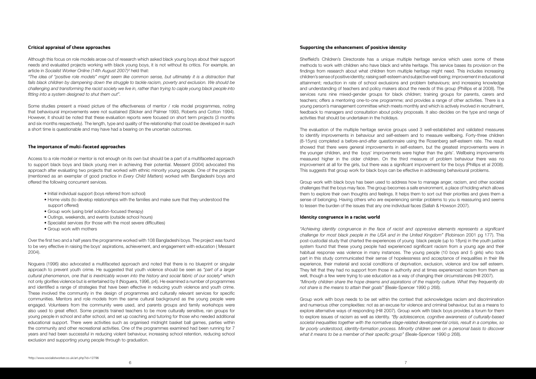### Critical appraisal of these approaches

Although this focus on role models arose out of research which asked black young boys about their support needs and evaluated projects working with black young boys, it is not without its critics. For example, an article in *Socialist Worker Online (14th August 2007)²* held that:

*"The idea of "positive role models" might seem like common sense, but ultimately it is a distraction that fails black children by dampening down the struggle to tackle racism, poverty and exclusion. We should be challenging and transforming the racist society we live in, rather than trying to cajole young black people into fitting into a system designed to shut them out".* 

Some studies present a mixed picture of the effectiveness of mentor / role model programmes, noting that behavioural improvements were not sustained (Slicker and Palmer 1993, Roberts and Cotton 1994). However, it should be noted that these evaluation reports were focused on short term projects (3 months and six months respectively). The length, type and quality of the relationship that could be developed in such a short time is questionable and may have had a bearing on the uncertain outcomes.

### The importance of multi-faceted approaches

Access to a role model or mentor is not enough on its own but should be a part of a multifaceted approach to support black boys and black young men in achieving their potential. Messent (2004) advocated this approach after evaluating two projects that worked with ethnic minority young people. One of the projects (mentioned as an exemplar of good practice in *Every Child Matters*) worked with Bangladeshi boys and offered the following concurrent services.

- Initial individual support (boys referred from school)
- Home visits (to develop relationships with the families and make sure that they understood the support offered)
- Group work (using brief solution-focused therapy)
- Outings, weekends, and events (outside school hours)
- Specialist services (for those with the most severe difficulties)
- Group work with mothers

Over the first two and a half years the programme worked with 108 Bangladeshi boys. The project was found to be very effective in raising the boys' aspirations, achievement, and engagement with education ( Messant 2004).

Noguera (1996) also advocated a multifaceted approach and noted that there is no blueprint or singular approach to prevent youth crime. He suggested that youth violence should be seen as *"part of a larger cultural phenomenon, one that is inextricably woven into the history and social fabric of our society"* which not only glorifies violence but is entertained by it (Noguera, 1996, p4). He examined a number of programmes and identified a range of strategies that have been effective in reducing youth violence and youth crime. These involved the community in the design of programmes and culturally relevant services for specific communities. Mentors and role models from the same cultural background as the young people were engaged. Volunteers from the community were used, and parents groups and family workshops were also used to great effect. Some projects trained teachers to be more culturally sensitive, ran groups for young people in school and after school, and set up coaching and tutoring for those who needed additional educational support. There were activities such as organised midnight basket ball games, parties within the community and other recreational activities. One of the programmes examined had been running for 7 years and had been successful in reducing violent behaviour, increasing school retention, reducing school exclusion and supporting young people through to graduation.

### Supporting the enhancement of positive identity

Sheffield's Children's Directorate has a unique multiple heritage service which uses some of these methods to work with children who have black and white heritage. This service bases its provision on the findings from research about what children from multiple heritage might need. This includes increasing children's sense of positive identity; raising self-esteem and subjective well-being; improvement in educational attainment; reduction in rate of school exclusions and problem behaviours; and increasing knowledge and understanding of teachers and policy makers about the needs of this group (Phillips et al 2008). The services runs nine mixed-gender groups for black children; training groups for parents, carers and teachers; offers a mentoring one-to-one programme; and provides a range of other activities. There is a young person's management committee which meets monthly and which is actively involved in recruitment, feedback to managers and consultation about policy proposals. It also decides on the type and range of activities that should be undertaken in the holidays.

The evaluation of the multiple heritage service groups used 3 well-established and validated measures to identify improvements in behaviour and self-esteem and to measure wellbeing. Forty-three children (8-15yrs) completed a before-and-after questionnaire using the Rosenberg self-esteem rate. The result showed that there were general improvements in self-esteem, but the greatest improvements were in the younger children, and the boys' improvements were higher than the girls'. Wellbeing improvements measured higher in the older children. On the third measure of problem behaviour there was no improvement at all for the girls, but there was a significant improvement for the boys (Phillips et al 2008). This suggests that group work for black boys can be effective in addressing behavioural problems.

Group work with black boys has been used to address how to manage anger, racism, and other societal challenges that the boys may face. The group becomes a safe environment, a place of holding which allows them to explore their own thoughts and feelings. It helps them to sort out their priorities and gives them a sense of belonging. Having others who are experiencing similar problems to you is reassuring and seems to lessen the burden of the issues that any one individual faces (Sallah & Howson 2007).

### Identity congruence in a racist world

*"Achieving identity congruence in the face of racist and oppressive elements represents a significant challenge for most black people in the USA and in the United Kingdom"* (Robinson 2001 pg 177). This post-custodial study that charted the experiences of young black people (up to 18yrs) in the youth justice system found that these young people had experienced significant racism from a young age and their habitual response was violence in many instances. The young people (10 boys and 5 girls) who took part in this study communicated their sense of hopelessness and acceptance of inequalities in their life experience, their material and social conditions of deprivation, exclusion, violence and low self esteem. They felt that they had no support from those in authority and at times experienced racism from them as well, though a few were trying to use education as a way of changing their circumstances (Hill 2007). *"Minority children share the hope dreams and aspirations of the majority culture. What they frequently do not share is the means to attain their goals"* (Beale-Spencer 1990 p 268).

Group work with boys needs to be set within the context that acknowledges racism and discrimination and numerous other complexities: not as an excuse for violence and criminal behaviour, but as a means to explore alternative ways of responding (Hill 2007). Group work with black boys provides a forum for them to explore issues of racism as well as identity. *"By adolescence, cognitive awareness of culturally-based societal inequalities together with the normative stage-related developmental crisis, result in a complex, so far poorly understood, identity-formation process. Minority children seek on a personal basis to discover what it means to be a member of their specific group"* (Beale-Spencer 1990 p 268).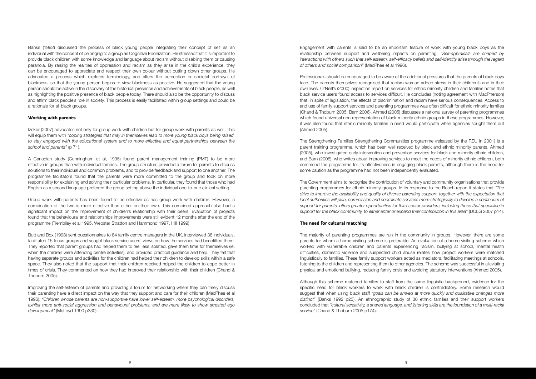Banks (1992) discussed the process of black young people integrating their concept of self as an individual with the concept of belonging to a group as Cognitive Ebonization. He stressed that it is important to provide black children with some knowledge and language about racism without disabling them or causing paranoia. By raising the realities of oppression and racism as they arise in the child's experience, they can be encouraged to appreciate and respect their own colour without putting down other groups. He advocated a process which explores terminology, and alters the perception or societal portrayal of blackness, so that the young person begins to view blackness as positive. He suggested that the young person should be active in the discovery of the historical presence and achievements of black people, as well as highlighting the positive presence of black people today. There should also be the opportunity to discuss and affirm black people's role in society. This process is easily facilitated within group settings and could be a rationale for all black groups.

Izekor (2007) advocates not only for group work with children but for group work with parents as well. This will equip them with *"coping strategies that may in themselves lead to more young black boys being raised to stay engaged with the educational system and to more effective and equal partnerships between the*  school and parents" (p 71).

### Working with parents

A Canadian study (Cunningham et al, 1995) found parent management training (PMT) to be more effective in groups than with individual families. The group structure provided a forum for parents to discuss solutions to their individual and common problems, and to provide feedback and support to one another. The programme facilitators found that the parents were more committed to the group and took on more responsibility for explaining and solving their particular problems. In particular, they found that those who had English as a second language preferred the group setting above the individual one-to-one clinical setting.

Group work with parents has been found to be effective as has group work with children. However, a combination of the two is more effective than either on their own. This combined approach also had a significant impact on the improvement of children's relationship with their peers. Evaluation of projects found that the behavioural and relationships improvements were still evident 12 months after the end of the programme (Tremblley et al 1995, Webster Stratton and Hammond 1997, Hill 1999).

Butt and Box (1998) sent questionnaires to 84 family centre managers in the UK, interviewed 38 individuals, facilitated 15 focus groups and sought black service users' views on how the services had benefitted them. They reported that parent groups had helped them to feel less isolated, gave them time for themselves (ie: when the children were attending centre activities), and provided practical guidance and help. They felt that having separate groups and activities for the children had helped their children to develop skills within a safe space. They also noted that the support that their children received helped the children to cope better in times of crisis. They commented on how they had improved their relationship with their children (Chand & Thoburn 2005).

Improving the self-esteem of parents and providing a forum for networking where they can freely discuss their parenting have a direct impact on the way that they support and care for their children (MacPhee et al 1996). *"Children whose parents are non-supportive have lower self-esteem, more psychological disorders, exhibit more anti-social aggression and behavioural problems, and are more likely to show arrested ego development"* (McLoyd 1990 p330).

Engagement with parents is said to be an important feature of work with young black boys as the relationship between support and wellbeing impacts on parenting. *"Self-appraisals are shaped by interactions with others such that self-esteem, self-efficacy beliefs and self-identity arise through the regard of others and social comparison"* (MacPhee et al 1996).

Professionals should be encouraged to be aware of the additional pressures that the parents of black boys face. The parents themselves recognised that racism was an added stress in their children's and in their own lives. O'Neill's (2000) inspection report on services for ethnic minority children and families notes that black service users found access to services difficult. He concludes (noting agreement with MacPherson) that, in spite of legislation, the effects of discrimination and racism have serious consequences. Access to and use of family support services and parenting programmes was often difficult for ethnic minority families (Chand & Thoburn 2005, Barn 2006). Ahmed (2005) discusses a national survey of parenting programmes which found universal non-representation of black minority ethnic groups in these programmes. However, it was also found that ethnic minority families in need would participate when agencies sought them out (Ahmed 2005).

The Strengthening Families Strengthening Communities programme (released by the REU in 2001) is a parent training programme, which has been well received by black and ethnic minority parents. Ahmed (2005), who investigated early intervention and prevention services for black and minority ethnic children, and Barn (2006), who writes about improving services to meet the needs of minority ethnic children, both commend the programme for its effectiveness in engaging black parents, although there is the need for some caution as the programme had not been independently evaluated.

The Government aims to recognise the contribution of voluntary and community organisations that provide parenting programmes for ethnic minority groups. In its response to the Reach report it states that *"The drive to improve the availability and quality of diverse parenting support, together with the expectation that local authorities will plan, commission and coordinate services more strategically to develop a continuum of support for parents, offers greater opportunities for third sector providers, including those that specialise in support for the black community, to either enter or expand their contribution in this area"* (DCLG 2007 p14).

### The need for cultural matching

The majority of parenting programmes are run in the community in groups. However, there are some parents for whom a home visiting scheme is preferable. An evaluation of a home visiting scheme which worked with vulnerable children and parents experiencing racism, bullying at school, mental health difficulties, domestic violence and suspected child abuse relates how project workers were matched linguistically to families. These family support workers acted as mediators, facilitating meetings at schools, listening to the children and representing them to other agencies. The scheme was successful in alleviating physical and emotional bullying, reducing family crisis and avoiding statutory interventions (Ahmed 2005).

Although this scheme matched families to staff from the same linguistic background, evidence for the specific need for black workers to work with black children is contradictory. Some research would suggest that when using black staff *"goals can be arrived at more quickly and qualitative changes more distinct"* (Banks 1992 p23). An ethnographic study of 30 ethnic families and their support workers concluded that *"cultural sensitivity, a shared language, and listening skills are the foundation of a multi-racial service"* (Chand & Thoburn 2005 p174).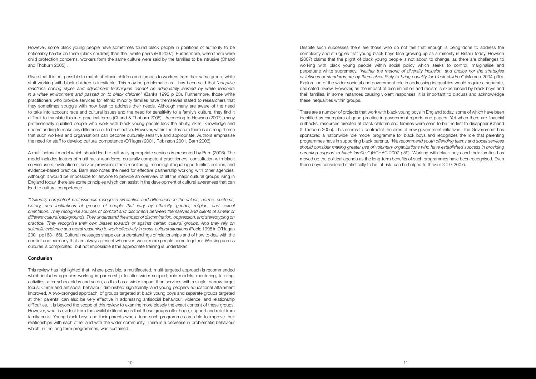However, some black young people have sometimes found black people in positions of authority to be noticeably harder on them (black children) than their white peers (Hill 2007). Furthermore, when there were child protection concerns, workers form the same culture were said by the families to be intrusive (Chand and Thoburn 2005) .

Given that It is not possible to match all ethnic children and families to workers from their same group, white staff working with black children is inevitable. This may be problematic as it has been said that *"adaptive reactions coping styles and adjustment techniques cannot be adequately learned by white teachers in a white environment and passed on to black children"* (Banks 1992 p 23). Furthermore, those white practitioners who provide services for ethnic minority families have themselves stated to researchers that they sometimes struggle with how best to address their needs. Although many are aware of the need to take into account race and cultural issues and the need for sensitivity to a family's culture, they find it difficult to translate this into practical terms (Chand & Thoburn 2005). According to Howson (2007), many professionally qualified people who work with black young people lack the ability, skills, knowledge and understanding to make any difference or to be effective. However, within the literature there is a strong theme that such workers and organisations can become culturally sensitive and appropriate. Authors emphasise the need for staff to develop cultural competence (O'Hagan 2001, Robinson 2001, Barn 2006).

A multifactorial model which should lead to culturally appropriate services is presented by Barn (2006). The model includes factors of multi-racial workforce, culturally competent practitioners, consultation with black service users, evaluation of service provision, ethnic monitoring, meaningful equal opportunities policies, and evidence-based practice. Barn also notes the need for effective partnership working with other agencies. Although it would be impossible for anyone to provide an overview of all the major cultural groups living in England today, there are some principles which can assist in the development of cultural awareness that can lead to cultural competence.

*"Culturally competent professionals recognise similarities and differences in the values, norms, customs,* history, and institutions of groups of people that vary by ethnicity, gender, religion, and sexual *orientation. They recognise sources of comfort and discomfort between themselves and clients of similar or different cultural backgrounds. They understand the impact of discrimination, oppression, and stereotyping on practice. They recognise their own biases towards or against certain cultural groups. And they rely on scientific evidence and moral reasoning to work effectively in cross-cultural situations* (Poole 1998 in O'Hagan 2001 pp163-166). Cultural messages shape our understandings of relationships and of how to deal with the conflict and harmony that are always present whenever two or more people come together. Working across cultures is complicated, but not impossible if the appropriate training is undertaken.

### Conclusion

This review has highlighted that, where possible, a multifaceted, multi-targeted approach is recommended which includes agencies working in partnership to offer wider support, role models, mentoring, tutoring, activities, after school clubs and so on, as this has a wider impact than services with a single, narrow target focus. Crime and antisocial behaviour diminished significantly, and young people's educational attainment improved. A two-pronged approach, of groups targeted at black young boys and separate groups targeted at their parents, can also be very effective in addressing antisocial behaviour, violence, and relationship difficulties. It is beyond the scope of this review to examine more closely the exact content of these groups. However, what is evident from the available literature is that these groups offer hope, support and relief from family crisis. Young black boys and their parents who attend such programmes are able to improve their relationships with each other and with the wider community. There is a decrease in problematic behaviour which, in the long term programmes, was sustained.

Despite such successes there are those who do not feel that enough is being done to address the complexity and struggles that young black boys face growing up as a minority in Britain today. Howson (2007) claims that the plight of black young people is not about to change, as there are challenges to working with black young people within social policy which seeks to control, marginalise and perpetuate white supremacy. *"Neither the rhetoric of diversity inclusion, and choice nor the strategies or fetishes of standards are by themselves likely to bring equality for black children"* (Mamon 2004 p90). Exploration of the wider societal and government role in addressing inequalities would require a separate, dedicated review. However, as the impact of discrimination and racism is experienced by black boys and their families, in some instances causing violent responses, it is important to discuss and acknowledge these inequalities within groups.

There are a number of projects that work with black young boys in England today, some of which have been identified as exemplars of good practice in government reports and papers. Yet when there are financial cutbacks, resources directed at black children and families were seen to be the first to disappear (Chand & Thoborn 2005). This seems to contradict the aims of new government initiatives. The Government has sponsored a nationwide role model programme for black boys and recognizes the role that parenting programmes have in supporting black parents. *"We recommend youth offending teams and social services should consider making greater use of voluntary organizations who have established success in providing parenting support to black families"* (HCHAC 2007 p59). Working with black boys and their families has moved up the political agenda as the long-term benefits of such programmes have been recognised. Even those boys considered statistically to be 'at risk' can be helped to thrive (DCLG 2007).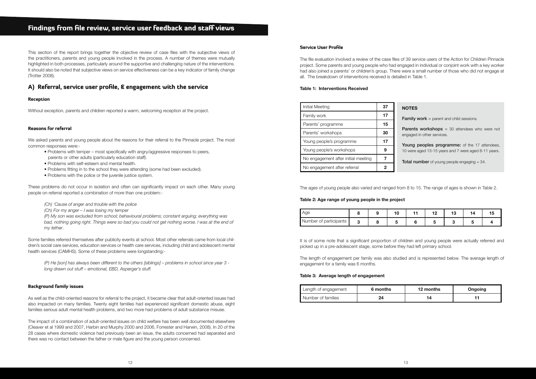### Findings from file review, service user feedback and staff views

This section of the report brings together the objective review of case files with the subjective views of the practitioners, parents and young people involved in the process. A number of themes were mutually highlighted in both processes, particularly around the supportive and challenging nature of the interventions. It should also be noted that subjective views on service effectiveness can be a key indicator of family change (Trotter 2008).

### A) Referral, service user profile, & engagement with the service

### Reception

Without exception, parents and children reported a warm, welcoming reception at the project.

### Reasons for referral

We asked parents and young people about the reasons for their referral to the Pinnacle project. The most common responses were:-

- Problems with temper most specifically with angry/aggressive responses to peers,
- parents or other adults (particularly education staff).
- Problems with self-esteem and mental health.
- Problems fitting in to the school they were attending (some had been excluded).
- Problems with the police or the juvenile justice system.

These problems do not occur in isolation and often can significantly impact on each other. Many young people on referral reported a combination of more than one problem:-

*(Ch) 'Cause of anger and trouble with the police*

*(Ch) For my anger – I was losing my temper*

*(P) My son was excluded from school; behavioural problems; constant arguing; everything was bad, nothing going right. Things were so bad you could not get nothing worse. I was at the end of my tether*.

Some families referred themselves after publicity events at school. Most other referrals came from local children's social care services, education services or health care services, including child and adolescent mental health services (CAMHS). Some of these problems were longstanding:-

*(P) He [son] has always been different to the others [siblings] – problems in school since year 3 long drawn out stuff – emotional, EBD, Asperger's stuff.*

### Background family issues

**Joung peoples programme:** of the 17 attendees, 10 were aged 13-15 years and 7 were aged 8-11 years.

**Total number** of young people engaging  $= 34$ .

As well as the child-oriented reasons for referral to the project, it became clear that adult-oriented issues had also impacted on many families. Twenty eight families had experienced significant domestic abuse, eight families serious adult mental health problems, and two more had problems of adult substance misuse.

The impact of a combination of adult-oriented issues on child welfare has been well documented elsewhere (Cleaver et al 1999 and 2007, Harbin and Murphy 2000 and 2006, Forrester and Harwin, 2008). In 20 of the 28 cases where domestic violence had previously been an issue, the adults concerned had separated and there was no contact between the father or male figure and the young person concerned.

### Service User Profile

The file evaluation involved a review of the case files of 39 service users of the Action for Children Pinnacle project. Some parents and young people who had engaged in individual or conjoint work with a key worker had also joined a parents' or children's group. There were a small number of those who did not engage at all. The breakdown of interventions received is detailed in Table 1.

### **Table 1: Interventions Received**

The ages of young people also varied and ranged from 8 to 15. The range of ages is shown in Table 2.

### **Table 2: Age range of young people in the project**

It is of some note that a significant proportion of children and young people were actually referred and picked up in a pre-adolescent stage, some before they had left primary school.

The length of engagement per family was also studied and is represented below. The average length of engagement for a family was 6 months.

### **Table 3: Average length of engagement**

| Initial Meeting                     | 37 | N      |
|-------------------------------------|----|--------|
| Family work                         | 17 | F      |
| Parents' programme                  | 15 |        |
| Parents' workshops                  | 30 | P<br>e |
| Young people's programme            | 17 |        |
| Young people's workshops            |    | 1      |
| No engagement after initial meeting |    | т      |
| No engagement after referral        |    |        |

### **NOTES**

Family work  $=$  parent and child sessions.

**Parents workshops** = 30 attendees who were not ngaged in other services.

| Age                       |  |  | . . |  |  |
|---------------------------|--|--|-----|--|--|
| participants<br>Number of |  |  |     |  |  |

| Length of engagement | 6 months | 12 months | Ongoing |
|----------------------|----------|-----------|---------|
| Number of families   | ົ        |           |         |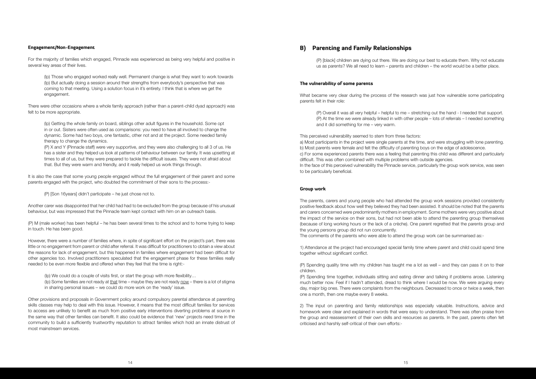### Engagement/Non-Engagement

For the majority of families which engaged, Pinnacle was experienced as being very helpful and positive in several key areas of their lives.

(Ip) Those who engaged worked really well. Permanent change is what they want to work towards (Ip) But actually doing a session around their strengths from everybody's perspective that was coming to that meeting. Using a solution focus in it's entirety. I think that is where we get the engagement.

There were other occasions where a whole family approach (rather than a parent-child dyad approach) was felt to be more appropriate.

(Ip) Getting the whole family on board, siblings other adult figures in the household. Some opt in or out. Sisters were often used as comparisons: you need to have all involved to change the dynamic. Some had two boys, one fantastic, other not and at the project. Some needed family therapy to change the dynamics.

(P) X and Y (Pinnacle staff) were very supportive, and they were also challenging to all 3 of us. He has a sister and they helped us look at patterns of behaviour between our family. It was upsetting at times to all of us, but they were prepared to tackle the difficult issues. They were not afraid about that. But they were warm and friendly, and it really helped us work things through.

It is also the case that some young people engaged without the full engagement of their parent and some parents engaged with the project, who doubted the commitment of their sons to the process:-

(P) [Son 16years] didn't participate – he just chose not to.

Another carer was disappointed that her child had had to be excluded from the group because of his unusual behaviour, but was impressed that the Pinnacle team kept contact with him on an outreach basis.

(P) M (male worker) has been helpful – he has been several times to the school and to home trying to keep in touch. He has been good.

However, there were a number of families where, in spite of significant effort on the project's part, there was little or no engagement from parent or child after referral. It was difficult for practitioners to obtain a view about the reasons for lack of engagement, but this happened in families where engagement had been difficult for other agencies too. Involved practitioners speculated that the engagement phase for these families really needed to be even more flexible and offered when they feel that the time is right:-

(Ip) We could do a couple of visits first, or start the group with more flexibility… (Ip) Some families are not ready at that time – maybe they are not ready now – there is a lot of stigma in sharing personal issues – we could do more work on the 'ready' issue.

Other provisions and proposals in Government policy around compulsory parental attendance at parenting skills classes may help to deal with this issue. However, it means that the most difficult families for services to access are unlikely to benefit as much from positive early interventions diverting problems at source in the same way that other families can benefit. It also could be evidence that 'new' projects need time in the community to build a sufficiently trustworthy reputation to attract families which hold an innate distrust of most mainstream services.

### B) Parenting and Family Relationships

(P) [black] children are dying out there. We are doing our best to educate them. Why not educate us as parents? We all need to learn – parents and children – the world would be a better place.

### The vulnerability of some parents

What became very clear during the process of the research was just how vulnerable some participating parents felt in their role:

(P) Overall it was all very helpful – helpful to me – stretching out the hand - I needed that support. (P) At the time we were already linked in with other people – lots of referrals – I needed something and it did something for me – very warm.

This perceived vulnerability seemed to stem from three factors: a) Most participants in the project were single parents at the time, and were struggling with lone parenting. b) Most parents were female and felt the difficulty of parenting boys on the edge of adolescence. c) For some experienced parents there was a feeling that parenting this child was different and particularly difficult. This was often combined with multiple problems with outside agencies. In the face of this perceived vulnerability the Pinnacle service, particularly the group work service, was seen to be particularly beneficial.

#### Group work

The parents, carers and young people who had attended the group work sessions provided consistently positive feedback about how well they believed they had been assisted. It should be noted that the parents and carers concerned were predominantly mothers in employment. Some mothers were very positive about the impact of the service on their sons, but had not been able to attend the parenting group themselves (because of long working hours or the lack of a crèche). One parent regretted that the parents group and the young persons group did not run concurrently. The comments of the parents who were able to attend the group work can be summarised as:-

1) Attendance at the project had encouraged special family time where parent and child could spend time together without significant conflict.

(P) Spending quality time with my children has taught me a lot as well – and they can pass it on to their children.

(P) Spending time together, individuals sitting and eating dinner and talking if problems arose. Listening much better now. Feel if I hadn't attended, dread to think where I would be now. We were arguing every day, major big ones. There were complaints from the neighbours. Decreased to once or twice a week, then one a month, then one maybe every 8 weeks.

2) The input on parenting and family relationships was especially valuable. Instructions, advice and homework were clear and explained in words that were easy to understand. There was often praise from the group and reassessment of their own skills and resources as parents. In the past, parents often felt criticised and harshly self-critical of their own efforts:-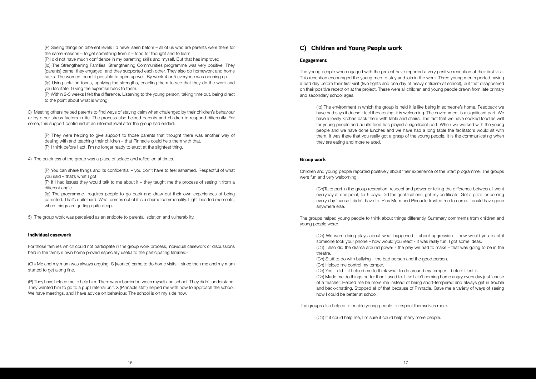(P) Seeing things on different levels I'd never seen before – all of us who are parents were there for the same reasons – to get something from it – food for thought and to learn.

(P)I did not have much confidence in my parenting skills and myself. But that has improved. (Ip) The Strengthening Families, Strengthening Communities programme was very positive. They [parents] came, they engaged, and they supported each other. They also do homework and home tasks. The women found it possible to open up well. By week 4 or 5 everyone was opening up. (Ip) Using solution-focus, applying the strengths, enabling them to see that they do the work and you facilitate. Giving the expertise back to them.

(P) Within 2-3 weeks I felt the difference. Listening to the young person, taking time out, being direct to the point about what is wrong.

(P) If I had issues they would talk to me about it – they taught me the process of seeing it from a different angle.

(Ip) The programme requires people to go back and draw out their own experiences of being parented. That's quite hard. What comes out of it is a shared commonality. Light-hearted moments, when things are getting quite deep.

3) Meeting others helped parents to find ways of staying calm when challenged by their children's behaviour or by other stress factors in life. The process also helped parents and children to respond differently. For some, this support continued at an informal level after the group had ended.

(P) They have helped me to help him. There was a barrier between myself and school. They didn't understand. They wanted him to go to a pupil referral unit. X (Pinnacle staff) helped me with how to approach the school. We have meetings, and I have advice on behaviour. The school is on my side now.

(P) They were helping to give support to those parents that thought there was another way of dealing with and teaching their children – that Pinnacle could help them with that. (P) I think before I act. I'm no longer ready to erupt at the slightest thing.

4) The quietness of the group was a place of solace and reflection at times.

(P) You can share things and its confidential – you don't have to feel ashamed. Respectful of what you said – that's what I got.

5) The group work was perceived as an antidote to parental isolation and vulnerability.

### Individual casework

For those families which could not participate in the group work process, individual casework or discussions held in the family's own home proved especially useful to the participating families:-

(Ch) Me and my mum was always arguing. S [worker] came to do home visits – since then me and my mum started to get along fine.

### C) Children and Young People work

### Engagement

The young people who engaged with the project have reported a very positive reception at their first visit. This reception encouraged the young men to stay and join in the work. Three young men reported having a bad day before their first visit (two fights and one day of heavy criticism at school), but that disappeared on their positive reception at the project. These were all children and young people drawn from late primary and secondary school ages.

(Ip) The environment in which the group is held it is like being in someone's home. Feedback we have had says it doesn't feel threatening, it is welcoming. The environment is a significant part. We have a lovely kitchen back there with table and chairs. The fact that we have cooked food as well for young people and adults food has played a significant part. When we worked with the young people and we have done lunches and we have had a long table the facilitators would sit with them. It was there that you really got a grasp of the young people. It is the communicating when they are eating and more relaxed.

### Group work

Children and young people reported positively about their experience of the Start programme. The groups were fun and very welcoming.

(Ch)Take part in the group recreation, respect and power or telling the difference between. I went everyday at one point, for 5 days. Did the qualifications, got my certificate. Got a prize for coming every day 'cause I didn't have to. Plus Mum and Pinnacle trusted me to come. I could have gone anywhere else.

The groups helped young people to think about things differently. Summary comments from children and young people were:-

(Ch) We were doing plays about what happened – about aggression – how would you react if someone took your phone – how would you react - it was really fun. I got some ideas. (Ch) I also did the drama around power - the play we had to make – that was going to be in the theatre.

(Ch) Stuff to do with bullying – the bad person and the good person. (Ch) Helped me control my temper.

(Ch) Yes it did – it helped me to think what to do around my temper – before I lost it. (Ch) Made me do things better than I used to. Like I ain't coming home angry every day just 'cause of a teacher. Helped me be more me instead of being short-tempered and always get in trouble and back-chatting. Stopped all of that because of Pinnacle. Gave me a variety of ways of seeing how I could be better at school.

The groups also helped to enable young people to respect themselves more.

(Ch) If it could help me, I'm sure it could help many more people.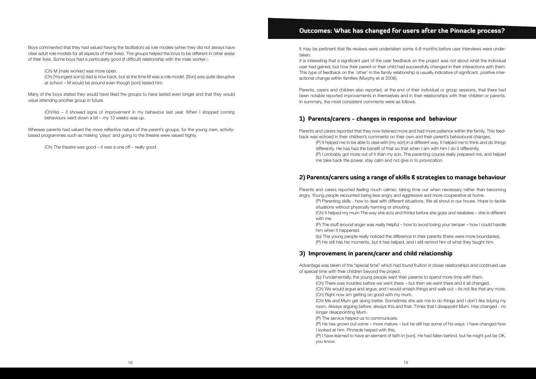Boys commented that they had valued having the facilitators as role models (when they did not always have clear adult role models for all aspects of their lives). The groups helped the boys to be different in other areas of their lives. Some boys had a particularly good (if difficult) relationship with the male worker:-

(Ch) M [male worker] was more open.

(Ch) [Youngest son's] dad is now back, but at the time M was a role model. [Son] was quite disruptive at school – M would be around even though [son] tested him.

Many of the boys stated they would have liked the groups to have lasted even longer and that they would value attending another group in future.

(Ch)Yes – it showed signs of improvement in my behaviour last year. When I stopped coming behaviours went down a bit – my 13 weeks was up.

Whereas parents had valued the more reflective nature of the parent's groups, for the young men, activitybased programmes such as making 'plays' and going to the theatre were valued highly.

(Ch) The theatre was good – it was a one off – really good.

### Outcomes: What has changed for users after the Pinnacle process?

It may be pertinent that file reviews were undertaken some 4-8 months before user interviews were undertaken.

It is interesting that a significant part of the user feedback on the project was not about what the individual user had gained, but how their parent or their child had successfully changed in their interactions with them. This type of feedback on the 'other' in the family relationship is usually indicative of significant, positive interactional change within families (Murphy et al 2008).

Parents, carers and children also reported, at the end of their individual or group sessions, that there had been notable reported improvements in themselves and in their relationships with their children or parents. In summary, the most consistent comments were as follows.

### 1) Parents/carers - changes in response and behaviour

Parents and carers reported that they now listened more and had more patience within the family. This feedback was echoed in their children's comments on their own and their parent's behavioural changes.

(P) It helped me to be able to deal with [my son] in a different way. It helped me to think and do things differently. He has had the benefit of that so that when I am with him I do it differently. (P) I probably got more out of it than my son. The parenting course really prepared me, and helped me take back the power, stay calm and not give in to provocation.

### 2) Parents/carers using a range of skills & strategies to manage behaviour

Parents and carers reported feeling much calmer, taking time out when necessary rather than becoming angry. Young people recounted being less angry and aggressive and more cooperative at home.

(P) Parenting skills - how to deal with different situations. We all shout in our house. Hope to tackle situations without physically harming or shouting. (Ch) It helped my mum The way she acts and thinks before she goes and retaliates – she is different with me.

(P) The stuff around anger was really helpful – how to avoid losing your temper – how I could handle him when it happened.

(Ip) The young people really noticed the difference in their parents (there were more boundaries). (P) He still has his moments, but it has helped, and I still remind him of what they taught him.

### 3) Improvement in parent/carer and child relationship

Advantage was taken of the "special time" which had found fruition in closer relationships and continued use of special time with their children beyond the project.

(Ip) Fundamentally, the young people want their parents to spend more time with them.

(Ch) There was troubles before we went there – but then we went there and it all changed.

(Ch) We would argue and argue, and I would smash things and walk out – its not like that any more. (Ch) Right now am getting on good with my mum.

(Ch) Me and Mum get along better. Sometimes she ask me to do things and I don't like tidying my room. Always arguing before; always this and that. Times that I disappoint Mum. Has changed - no

longer disappointing Mum.

(P) The service helped us to communicate.

(P) He has grown out some – more mature – but he still has some of his ways. I have changed how

I looked at him. Pinnacle helped with this.

(P) I have learned to have an element of faith in [son]. He had fallen behind, but he might just be OK, you know.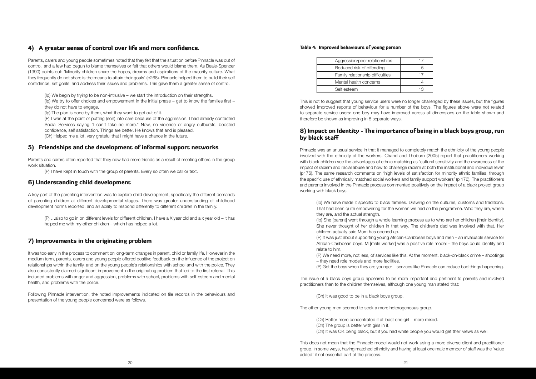### 4) A greater sense of control over life and more confidence.

Parents, carers and young people sometimes noted that they felt that the situation before Pinnacle was out of control, and a few had begun to blame themselves or felt that others would blame them. As Beale-Spencer (1990) points out: 'Minority children share the hopes, dreams and aspirations of the majority culture. What they frequently do not share is the means to attain their goals' (p268). Pinnacle helped them to build their self confidence, set goals and address their issues and problems. This gave them a greater sense of control.

(Ip) We begin by trying to be non-intrusive – we start the introduction on their strengths.

(Ip) We try to offer choices and empowerment in the initial phase – get to know the families first – they do not have to engage.

A key part of the parenting intervention was to explore child development, specifically the different demands of parenting children at different developmental stages. There was greater understanding of childhood development norms reported, and an ability to respond differently to different children in the family.

(Ip) The plan is done by them, what they want to get out of it.

(P) I was at the point of putting (son) into care because of the aggression. I had already contacted Social Services saying "I can't take no more." Now, no violence or angry outbursts, boosted confidence, self satisfaction. Things are better. He knows that and is pleased. (Ch) Helped me a lot, very grateful that I might have a chance in the future.

### 5) Friendships and the development of informal support networks

Parents and carers often reported that they now had more friends as a result of meeting others in the group work situation.

(P) I have kept in touch with the group of parents. Every so often we call or text.

### 6) Understanding child development

(P) …also to go in on different levels for different children. I have a X year old and a x year old – it has helped me with my other children – which has helped a lot.

### 7) Improvements in the originating problem

It was too early in the process to comment on long-term changes in parent, child or family life. However in the medium term, parents, carers and young people offered positive feedback on the influence of the project on relationships within the family, and on the young people's relationships with school and with the police. They also consistently claimed significant improvement in the originating problem that led to the first referral. This included problems with anger and aggression, problems with school, problems with self-esteem and mental health, and problems with the police.

Following Pinnacle intervention, the noted improvements indicated on file records in the behaviours and presentation of the young people concerned were as follows.

### Table 4: Improved behaviours of young person

| Aggression/peer relationships    |     |
|----------------------------------|-----|
| Reduced risk of offending        |     |
| Family relationship difficulties |     |
| Mental health concerns           |     |
| Self esteem                      | ר 1 |
|                                  |     |

This is not to suggest that young service users were no longer challenged by these issues, but the figures showed improved reports of behaviour for a number of the boys. The figures above were not related to separate service users: one boy may have improved across all dimensions on the table shown and therefore be shown as improving in 5 separate ways.

### 8) Impact on Identity - The importance of being in a black boys group, run by black staff

Pinnacle was an unusual service in that it managed to completely match the ethnicity of the young people involved with the ethnicity of the workers. Chand and Thoburn (2005) report that practitioners working with black children see the advantages of ethnic matching as 'cultural sensitivity and the awareness of the impact of racism and racial abuse and how to challenge racism at both the institutional and individual level' (p176). The same research comments on 'high levels of satisfaction for minority ethnic families, through the specific use of ethnically matched social workers and family support workers' (p 176). The practitioners and parents involved in the Pinnacle process commented positively on the impact of a black project group working with black boys.

(Ip) We have made it specific to black families. Drawing on the cultures, customs and traditions. That had been quite empowering for the women we had on the programme. Who they are, where they are, and the actual strength. (Ip) She [parent] went through a whole learning process as to who are her children [their identity]. She never thought of her children in that way. The children's dad was involved with that. Her children actually said Mum has opened up. (P) It was just about supporting young African-Caribbean boys and men – an invaluable service for African-Caribbean boys. M [male worker] was a positive role model – the boys could identify and relate to him.

(P) We need more, not less, of services like this. At the moment, black-on-black crime – shootings

– they need role models and more facilities.

(P) Get the boys when they are younger – services like Pinnacle can reduce bad things happening.

The issue of a black boys group appeared to be more important and pertinent to parents and involved practitioners than to the children themselves, although one young man stated that:

(Ch) It was good to be in a black boys group.

The other young men seemed to seek a more heterogeneous group.

(Ch) Better more concentrated if at least one girl – more mixed.

- (Ch) The group is better with girls in it.
- 

(Ch) It was OK being black, but if you had white people you would get their views as well.

This does not mean that the Pinnacle model would not work using a more diverse client and practitioner group. In some ways, having matched ethnicity and having at least one male member of staff was the 'value added' if not essential part of the process.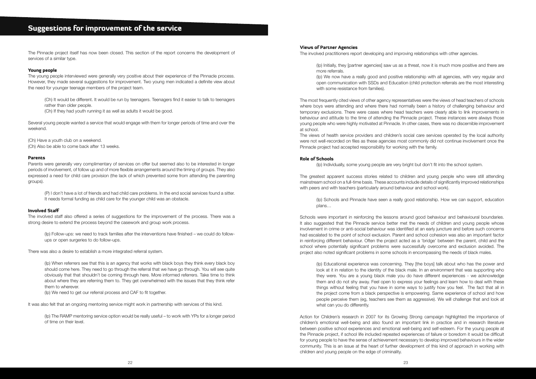The Pinnacle project itself has now been closed. This section of the report concerns the development of services of a similar type.

### Young people

The young people interviewed were generally very positive about their experience of the Pinnacle process. However, they made several suggestions for improvement. Two young men indicated a definite view about the need for younger teenage members of the project team.

(Ch) It would be different. It would be run by teenagers. Teenagers find it easier to talk to teenagers rather than older people.

(Ch) If they had youth running it as well as adults it would be good.

Several young people wanted a service that would engage with them for longer periods of time and over the weekend.

(Ch) Have a youth club on a weekend.

(Ch) Also be able to come back after 13 weeks.

### Parents

Parents were generally very complimentary of services on offer but seemed also to be interested in longer periods of involvement, of follow up and of more flexible arrangements around the timing of groups. They also expressed a need for child care provision (the lack of which prevented some from attending the parenting groups).

(P) I don't have a lot of friends and had child care problems. In the end social services found a sitter. It needs formal funding as child care for the younger child was an obstacle.

(Ip) We now have a really good and positive relationship with all agencies, with very regular and open communication with SSDs and Education (child protection referrals are the most interesting with some resistance from families).

### Involved Staff

The involved staff also offered a series of suggestions for the improvement of the process. There was a strong desire to extend the process beyond the casework and group work process.

(Ip) Follow-ups: we need to track families after the interventions have finished – we could do followups or open surgeries to do follow-ups.

There was also a desire to establish a more integrated referral system.

(Ip) When referrers see that this is an agency that works with black boys they think every black boy should come here. They need to go through the referral that we have go through. You will see quite obviously that that shouldn't be coming through here. More informed referrers. Take time to think about where they are referring them to. They get overwhelmed with the issues that they think refer them to wherever.

(Ip) We need to get our referral process and CAF to fit together.

It was also felt that an ongoing mentoring service might work in partnership with services of this kind.

(Ip) The RAMP mentoring service option would be really useful – to work with YPs for a longer period of time on their level.

### Views of Partner Agencies

The involved practitioners report developing and improving relationships with other agencies.

(Ip) Initially, they [partner agencies] saw us as a threat, now it is much more positive and there are more referrals.

The most frequently cited views of other agency representatives were the views of head teachers of schools where boys were attending and where there had normally been a history of challenging behaviour and temporary exclusions. There were cases where head teachers were clearly able to link improvements in behaviour and attitude to the time of attending the Pinnacle project. These instances were always those young people who were highly motivated at Pinnacle. In other cases, there was no discernible improvement at school.

The views of health service providers and children's social care services operated by the local authority were not well-recorded on files as these agencies most commonly did not continue involvement once the Pinnacle project had accepted responsibility for working with the family.

### Role of Schools

(Ip) Individually, some young people are very bright but don't fit into the school system.

The greatest apparent success stories related to children and young people who were still attending mainstream school on a full-time basis. These accounts include details of significantly improved relationships with peers and with teachers (particularly around behaviour and school work).

(Ip) Schools and Pinnacle have seen a really good relationship. How we can support, education plans…

Schools were important in reinforcing the lessons around good behaviour and behavioural boundaries. It also suggested that the Pinnacle service better met the needs of children and young people whose involvement in crime or anti-social behaviour was identified at an early juncture and before such concerns had escalated to the point of school exclusion. Parent and school cohesion was also an important factor in reinforcing different behaviour. Often the project acted as a 'bridge' between the parent, child and the school where potentially significant problems were successfully overcome and exclusion avoided. The project also noted significant problems in some schools in encompassing the needs of black males.

(Ip) Educational experience was concerning. They [the boys] talk about who has the power and look at it in relation to the identity of the black male. In an environment that was supporting who they were. You are a young black male you do have different experiences - we acknowledge them and do not shy away. Feel open to express your feelings and learn how to deal with these things without feeling that you have in some ways to justify how you feel. The fact that all in the project come from a black perspective is empowering. Same experience of school and how people perceive them (eg, teachers see them as aggressive). We will challenge that and look at what can you do differently.

Action for Children's research in 2007 for its Growing Strong campaign highlighted the importance of children's emotional well-being and also found an important link in practice and in research literature between positive school experiences and emotional well-being and self-esteem. For the young people at the Pinnacle project, if school life included repeated experiences of failure or boredom it would be difficult for young people to have the sense of achievement necessary to develop improved behaviours in the wider community. This is an issue at the heart of further development of this kind of approach in working with children and young people on the edge of criminality.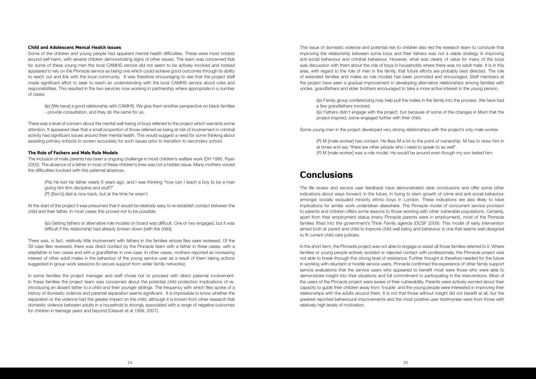### Child and Adolescent Mental Health Issues

Some of the children and young people had apparent mental health difficulties. These were most notably around self-harm, with several children demonstrating signs of other issues. The team was concerned that for some of these young men the local CAMHS service did not seem to be actively involved and instead appeared to rely on the Pinnacle service as being one which could achieve good outcomes through its ability to reach out and link with the local community. It was therefore encouraging to see that the project staff made significant effort to seek to reach an understanding with the local CAMHS service about roles and responsibilities. This resulted in the two services now working in partnership where appropriate in a number of cases.

(Ip) [We have] a good relationship with CAMHS. We give them another perspective on black families - provide consultation, and they do the same for us.

There was a level of concern about the mental well-being of boys referred to the project which warrants some attention. It appeared clear that a small proportion of those referred as being at risk of involvement in criminal activity had significant issues around their mental health. This would suggest a need for some thinking about assisting primary schools to screen accurately for such issues prior to transition to secondary school.

### The Role of Fathers and Male Role Models

The inclusion of male parents has been a ongoing challenge in most children's welfare work (DH 1995, Ryan 2000). The absence of a father in most of these children's lives was not a hidden issue. Many mothers voiced the difficulties involved with this paternal absence:.

(Pa) He lost his father nearly 6 years ago, and I was thinking "how can I teach a boy to be a man giving him firm discipline and stuff?"

(P) [Son's] dad is now back, but at the time he wasn't.

At the start of the project it was presumed that it would be relatively easy to re-establish contact between the child and their father. In most cases this proved not to be possible.

(Ip) Getting fathers or alternative role models on board was difficult. One or two engaged, but it was difficult if the relationship had already broken down [with the child].

There was, in fact, relatively little involvement with fathers in the families whose files were reviewed. Of the 39 case files reviewed, there was direct contact by the Pinnacle team with a father in three cases, with a stepfather in two cases and with a grandfather in one case. In other cases, mothers reported an increasing interest of other adult males in the behaviour of the young service user as a result of them taking actions suggested in group work sessions (to secure support from wider family networks).

In some families the project manager and staff chose not to proceed with direct paternal involvement. In these families the project team was concerned about the potential child protection implications of reintroducing an absent father to a child and their younger siblings. The frequency with which files spoke of a history of domestic violence and parental separation seems significant. It is impossible to know whether the separation or the violence had the greater impact on the child, although it is known from other research that domestic violence between adults in a household is strongly associated with a range of negative outcomes for children in teenage years and beyond (Cleaver et al 1999, 2007).

In the short term, the Pinnacle project was not able to engage or assist all those families referred to it. Where families or young people actively avoided or rejected contact with professionals, the Pinnacle project was not able to break through this strong level of resistance. Further thought is therefore needed for the future in working with reluctant or hostile service users. Pinnacle confirmed the experience of other family support service evaluations that the service users who appeared to benefit most were those who were able to demonstrate insight into their situations and full commitment to participating in the interventions. Most of the users of the Pinnacle project were aware of their vulnerability. Parents were actively worried about their capacity to guide their children away from 'trouble' and the young people were interested in improving their relationships with the adults around them. It is not that those without insight did not benefit at all, but the greatest reported behavioural improvements and the most positive user testimonies were from those with relatively high levels of motivation.

This issue of domestic violence and potential risk to children also led the research team to conclude that improving the relationship between some boys and their fathers was not a viable strategy in improving anti-social behaviour and criminal behaviour. However, what was clearly of value for many of the boys was discussion with them about the role of boys in households where there was no adult male. It is in this area, with regard to the role of men in the family, that future efforts are probably best directed. The role of extended families and males as role models has been promoted and encouraged. Staff members at the project have seen a gradual improvement in developing alternative relationships among families with uncles, grandfathers and elder brothers encouraged to take a more active interest in the young person.

(Ip) Family group conferencing may help pull the males in the family into the process. We have had a few grandfathers involved.

(Ip) Fathers didn't engage with the project, but because of some of the changes in Mum that the project inspired, some engaged further with their child.

Some young men in the project developed very strong relationships with the project's only male worker.

(P) M [male worker] has contact. He likes M a lot to the point of ownership. M has to draw him in at times and say "there are other people who I need to speak to as well". (P) M [male worker] was a role model. He would be around even though my son tested him.

# **Conclusions**

The file review and service user feedback have demonstrated clear conclusions and offer some other indications about ways forward, in the future, in trying to stem growth of crime and anti-social behaviour amongst socially excluded minority ethnic boys in London. These indications are also likely to have implications for similar work undertaken elsewhere. The Pinnacle model of concurrent service provision to parents and children offers some lessons to those working with other vulnerable populations. Certainly, apart from their employment status (many Pinnacle parents were in employment), most of the Pinnacle families fitted into the government's Think Family agenda (DCSF 2009). This model of early intervention aimed both at parent and child to improve child well being and behaviour is one that seems well-designed to fit current child care policies.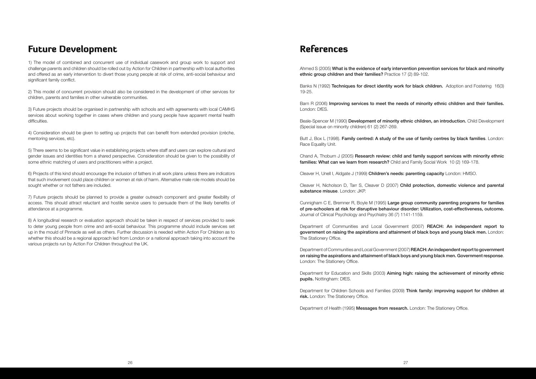# Future Development

1) The model of combined and concurrent use of individual casework and group work to support and challenge parents and children should be rolled out by Action for Children in partnership with local authorities and offered as an early intervention to divert those young people at risk of crime, anti-social behaviour and significant family conflict.

2) This model of concurrent provision should also be considered in the development of other services for children, parents and families in other vulnerable communities.

3) Future projects should be organised in partnership with schools and with agreements with local CAMHS services about working together in cases where children and young people have apparent mental health difficulties.

4) Consideration should be given to setting up projects that can benefit from extended provision (crèche, mentoring services, etc).

5) There seems to be significant value in establishing projects where staff and users can explore cultural and gender issues and identities from a shared perspective. Consideration should be given to the possibility of some ethnic matching of users and practitioners within a project.

Banks N (1992) Techniques for direct identity work for black children. Adoption and Fostering 16(3) 19-25.

6) Projects of this kind should encourage the inclusion of fathers in all work plans unless there are indicators that such involvement could place children or women at risk of harm. Alternative male role models should be sought whether or not fathers are included.

Butt J, Box L (1998). Family centred: A study of the use of family centres by black families. London: Race Equality Unit.

Chand A, Thoburn J (2005) Research review: child and family support services with minority ethnic families: What can we learn from research? Child and Family Social Work 10 (2) 169-178.

Cleaver H, Nicholson D, Tarr S, Cleaver D (2007) Child protection, domestic violence and parental substance misuse. London: JKP.

7) Future projects should be planned to provide a greater outreach component and greater flexibility of access. This should attract reluctant and hostile service users to persuade them of the likely benefits of attendance at a programme.

> Department of Communities and Local Government (2007) REACH: An independent report to government on raising the aspirations and attainment of black boys and young black men. London: The Stationery Office.

8) A longitudinal research or evaluation approach should be taken in respect of services provided to seek to deter young people from crime and anti-social behaviour. This programme should include services set up in the mould of Pinnacle as well as others. Further discussion is needed within Action For Children as to whether this should be a regional approach led from London or a national approach taking into account the various projects run by Action For Children throughout the UK.

> Department for Education and Skills (2003) Aiming high: raising the achievement of minority ethnic pupils. Nottingham: DfES.

> Department for Children Schools and Families (2009) Think family: improving support for children at risk. London: The Stationery Office.

Department of Health (1995) Messages from research. London: The Stationery Office.

# References

Ahmed S (2005) What is the evidence of early intervention prevention services for black and minority ethnic group children and their families? Practice 17 (2) 89-102.

Barn R (2006) Improving services to meet the needs of minority ethnic children and their families. London: DfES.

Beale-Spencer M (1990) Development of minority ethnic children, an introduction. Child Development (Special issue on minority children) 61 (2) 267-269.

Cleaver H, Unell I, Aldgate J (1999) Children's needs: parenting capacity London: HMSO.

Cunnigham C E, Bremner R, Boyle M (1995) Large group community parenting programs for families of pre-schoolers at risk for disruptive behaviour disorder: Utilization, cost-effectiveness, outcome. Journal of Clinical Psychology and Psychiatry 36 (7) 1141-1159.

Department of Communities and Local Government (2007) REACH: An independent report to government on raising the aspirations and attainment of black boys and young black men. Government response. London: The Stationery Office.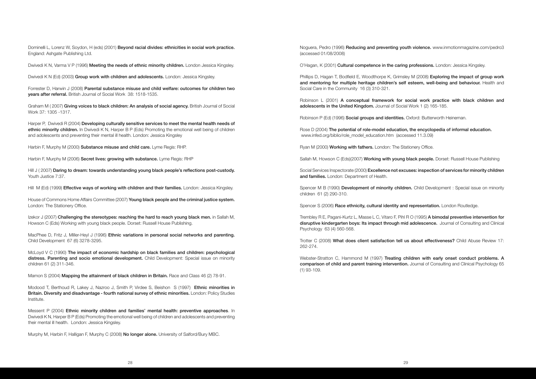Dominelli L, Lorenz W, Soydon, H (eds) (2001) Beyond racial divides: ethnicities in social work practice. England: Ashgate Publishing Ltd.

Dwivedi K N, Varma V P (1996) Meeting the needs of ethnic minority children. London Jessica Kingsley.

Dwivedi K N (Ed) (2003) Group work with children and adolescents. London: Jessica Kingsley.

Graham M (2007) Giving voices to black children: An analysis of social agency. British Journal of Social Work 37: 1305 -1317.

Forrester D, Harwin J (2008) Parental substance misuse and child welfare: outcomes for children two years after referral. British Journal of Social Work 38: 1518-1535.

Harper P, Dwivedi R (2004) Developing culturally sensitive services to meet the mental health needs of ethnic minority children. In Dwivedi K N, Harper B P (Eds) Promoting the emotional well being of children and adolescents and preventing their mental ill health. London: Jessica Kingsley

Hill J (2007) Daring to dream: towards understanding young black people's reflections post-custody. Youth Justice 7:37.

Hill M (Ed) (1999) **Effective ways of working with children and their families.** London: Jessica Kingsley.

House of Commons Home Affairs Committee (2007) Young black people and the criminal justice system. London: The Stationery Office.

Izekor J (2007) Challenging the stereotypes: reaching the hard to reach young black men. in Sallah M, Howson C (Eds) Working with young black people. Dorset: Russell House Publishing.

MacPhee D, Fritz J, Miller-Heyl J (1996) Ethnic variations in personal social networks and parenting. Child Development 67 (6) 3278-3295.

Harbin F, Murphy M (2000) Substance misuse and child care. Lyme Regis: RHP.

Harbin F, Murphy M (2006) Secret lives: growing with substance. Lyme Regis: RHP

McLoyd V C (1990) The impact of economic hardship on black families and children: psychological distress. Parenting and socio emotional development. Child Development: Special issue on minority children 61 (2) 311-346.

Mamon S (2004) Mapping the attainment of black children in Britain. Race and Class 46 (2) 78-91.

Modood T, Berthoud R, Lakey J, Nazroo J, Smith P, Virdee S, Beishon S (1997) Ethnic minorities in Britain. Diversity and disadvantage - fourth national survey of ethnic minorities. London: Policy Studies Institute.

Phillips D, Hagan T, Bodfield E, Woodthorpe K, Grimsley M (2008) **Exploring the impact of group work** and mentoring for multiple heritage children's self esteem, well-being and behaviour. Health and Social Care in the Community 16 (3) 310-321.

Rose D (2004) The potential of role-model education, the encyclopedia of informal education. www.infed.org/biblio/role\_model\_education.htm (accessed 11.3.09)

Social Services Inspectorate (2000) Excellence not excuses: inspection of services for minority children and families. London: Department of Health.

Spencer M B (1990) Development of minority children. Child Development : Special issue on minority children 61 (2) 290-310.

Spencer S (2006) Race ethnicity, cultural identity and representation. London Routledge.

Trembley R E, Pagani-Kurtz L, Masse L C, Vitaro F, Pihl R O (1995) A bimodal preventive intervention for disruptive kindergarten boys: Its impact through mid adolescence. Journal of Consulting and Clinical Psychology 63 (4) 560-568.

Webster-Stratton C, Hammond M (1997) Treating children with early onset conduct problems. A comparison of child and parent training intervention. Journal of Consulting and Clinical Psychology 65 (1) 93-109.

Messent P (2004) Ethnic minority children and families' mental health: preventive approaches. In Dwivedi K N, Harper B P (Eds) Promoting the emotional well being of children and adolescents and preventing their mental ill health. London: Jessica Kingsley.

Murphy M, Harbin F, Halligan F, Murphy C (2008) No longer alone. University of Salford/Bury MBC.

Noguera, Pedro (1996) Reducing and preventing youth violence. www.inmotionmagazine.com/pedro3 (accessed 01/08/2008)

O'Hagan, K (2001) Cultural competence in the caring professions. London: Jessica Kingsley.

Robinson L (2001) A conceptual framework for social work practice with black children and adolescents in the United Kingdom. Journal of Social Work 1 (2) 165-185.

Robinson P (Ed) (1996) **Social groups and identities.** Oxford: Butterworth Heineman.

Ryan M (2000) Working with fathers. London: The Stationery Office.

Sallah M, Howson C (Eds)(2007) Working with young black people. Dorset: Russell House Publishing

Trotter C (2008) What does client satisfaction tell us about effectiveness? Child Abuse Review 17: 262-274.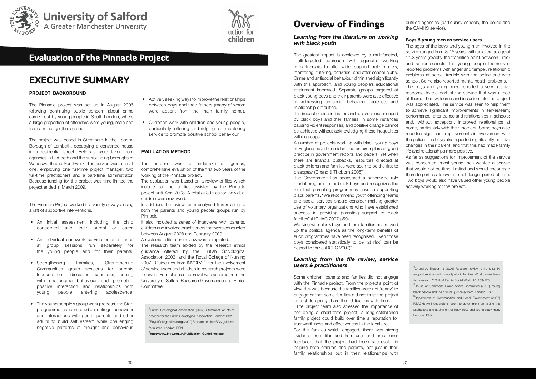# EXECUTIVE SUMMARY

### **PROJECT BACKGROUND**

The Pinnacle project was set up in August 2006 following continuing public concern about crime carried out by young people in South London, where a large proportion of offenders were young, male and from a minority ethnic group.

The project was based in Streatham in the London Borough of Lambeth, occupying a converted house in a residential street. Referrals were taken from agencies in Lambeth and the surrounding boroughs of Wandsworth and Southwark. The service was a small one, employing one full-time project manager, two full-time practitioners and a part-time administrator. Because funding for the project was time-limited the project ended in March 2009.

- An initial assessment including the child concerned and their parent or carer.
- An individual casework service or attendance at group sessions run separately for the young people and for their parents.
- Strengthening Families, Strengthening Communities group sessions for parents focused on discipline, sanctions, coping with challenging behaviour and promoting positive interaction and relationships with young people entering adolescence.
- The young people's group work process, the Start programme, concentrated on feelings, behaviour and interactions with peers, parents and other adults to build self esteem while challenging negative patterns of thought and behaviour.

The Pinnacle Project worked in a variety of ways, using a raft of supportive interventions.

- Actively seeking ways to improve the relationships between boys and their fathers (many of whom were absent from the main family home).
- Outreach work with children and young people, particularly offering a bridging or mentoring service to promote positive school behaviour.

It also included a series of interviews with parents, children and involved practitioners that were conducted between August 2008 and February 2009.

### **EVALUATION METHOD**

The purpose was to undertake a rigorous, comprehensive evaluation of the first two years of the working of the Pinnacle project.

A number of projects working with black young boys in England have been identified as exemplars of good practice in government reports and papers. Yet when there are financial cutbacks, resources directed at black children and families were seen to be the first to disappear (Chand & Thoborn 2005)<sup>4</sup>.

The evaluation was based on a review of files which included all the families assisted by the Pinnacle project until April 2008. A total of 39 files for individual children were reviewed.

The Government has sponsored a nationwide role model programme for black boys and recognizes the role that parenting programmes have in supporting black parents. "We recommend youth offending teams and social services should consider making greater use of voluntary organizations who have established success in providing parenting support to black families" (HCHAC 2007 p59) $5$ .

In addition, the review team analysed files relating to both the parents and young people groups run by Pinnacle.

> Working with black boys and their families has moved up the political agenda as the long-term benefits of such programmes have been recognised. Even those boys considered statistically to be 'at risk' can be helped to thrive (DCLG 2007)<sup>6</sup>.

A systematic literature review was completed.

The research team abided by the research ethics guidance offered by the British Sociological Association 2002<sup>1</sup> and the Royal College of Nursing  $2007<sup>2</sup>$ . Guidelines from INVOLVE $<sup>3</sup>$  for the involvement</sup> of service users and children in research projects were followed. Formal ethics approval was secured from the University of Salford Research Governance and Ethics Committee.

1 British Sociological Association (2002) Statement of ethical practice for the British Sociological Association. London: BSA.  $^{2}$ Royal College of Nursing (2007) Research ethics: RCN guidance for nurses. London: RCN.

 $^3$ http://www.invo.org.uk/Publication\_Guidelines.asp

# Overview of Findings

### *Learning from the literature on working with black youth*

The greatest impact is achieved by a multifaceted, multi-targeted approach with agencies working in partnership to offer wider support, role models, mentoring, tutoring, activities, and after-school clubs. Crime and antisocial behaviour diminished significantly with this approach, and young people's educational attainment improved. Separate groups targeted at black young boys and their parents were also effective in addressing antisocial behaviour, violence, and relationship difficulties.

> $^{4}$ Chand A, Thoburn J (2005) Research review: child & family support services with minority ethnic families: What can we learn from research? Child & Family Social Work 10: 169-178. 5 House of Commons Home Affairs Committee (2007) Young black people and the criminal justice system. London: TSO. 6 Department of Communities and Local Government (2007) REACH: An independent report to government on raising the aspirations and attainment of black boys and young black men. London: TSO.

The impact of discrimination and racism is experienced by black boys and their families, in some instances causing violent responses, and positive change cannot be achieved without acknowledging these inequalities within groups.

### *Learning from the file review, service users & practitioners*

Some children, parents and families did not engage with the Pinnacle project. From the project's point of view this was because the families were not 'ready' to engage or that some families did not trust the project enough to openly share their difficulties with them.

 The project team also stressed the importance of not being a short-term project: a long-established family project could build over time a reputation for trustworthiness and effectiveness in the local area. For the families which engaged, there was strong evidence from files and from user and practitioner feedback that the project had been successful in helping both children and parents, not just in their family relationships but in their relationships with

outside agencies (particularly schools, the police and the CAMHS service).

### **Boys & young men as service users**

The ages of the boys and young men involved in the service ranged from 8-15 years, with an average age of 11.3 years (exactly the transition point between junior and senior school). The young people themselves reported problems with anger and temper, relationship problems at home, trouble with the police and with school. Some also reported mental health problems.

The boys and young men reported a very positive response to the part of the service that was aimed at them. Their welcome and inclusion into the project was appreciated. The service was seen to help them to achieve significant improvements in self-esteem; performance, attendance and relationships in schools; and, without exception, improved relationships at home, particularly with their mothers. Some boys also reported significant improvements in involvement with the police. The boys also reported significantly positive changes in their parent, and that this had made family life and relationships more positive.

As far as suggestions for improvement of the service was concerned, most young men wanted a service that would not be time- limited and would encourage them to participate over a much longer period of time. Two boys would also have valued other young people actively working for the project.





# Evaluation of the Pinnacle Project